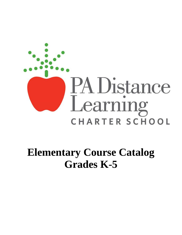

# **Elementary Course Catalog Grades K-5**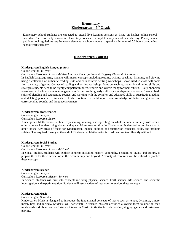# **Elementary Kindergarten – 5 th Grade**

Elementary school students are expected to attend live-learning sessions as listed on his/her online school calendar. There are daily lessons in elementary courses to complete every school calendar day. Pennsylvania public school regulations require every elementary school student to spend a minimum of 5.0 hours completing school work each day.

# **Kindergarten Courses**

#### **Kindergarten English Language Arts**

Course length: Full-year

Curriculum Resource: *Savvas MyView Literacy Kindergarten* and *Heggerty Phonemic Awareness*

In English Language Arts, students will master concepts including reading, writing, speaking, listening, and viewing using a collection of authentic reading texts and collaborative writing workshops. Books used in class will come from a variety of genres. Connected reading and writing workshops focus on teaching and critical thinking skills and strategies students need to be highly competent thinkers, readers and writers ready for their futures. Daily phonemic awareness will allow students to engage in activities teaching early skills such as rhyming and onset fluency, basic skills of blending and segmenting sounds, and working with the complex and advanced skills of substituting, adding, and deleting phonemes. Students will also continue to build upon their knowledge of letter recognition and corresponding sounds, and language awareness.

#### **Kindergarten Mathematics**

Course length: Full-year

Curriculum Resource: *Zearn*

Kindergarten Mathematics is about representing, relating, and operating on whole numbers, initially with sets of objects, as well as describing shapes and space. More learning time in Kindergarten is devoted to numbers than to other topics. Key areas of focus for Kindergarten include addition and subtraction concepts, skills, and problem solving. The required fluency at the end of Kindergarten Mathematics is to add and subtract fluently within 5.

#### **Kindergarten Social Studies**

Course length: Full-year

Curriculum Resource: *Savvas MyWorld*

In Social Studies, students will explore concepts including history, geography, economics, civics, and culture, to prepare them for their interaction in their community and beyond. A variety of resources will be utilized to practice these concepts.

#### **Kindergarten Science**

Course length: Full-year Curriculum Resource: *Mystery Science*

In Science, students will dive into concepts including physical science, Earth science, life science, and scientific investigation and experimentation. Students will use a variety of resources to explore these concepts.

#### **Kindergarten Music**

Course length: Semester

Kindergarten Music is designed to introduce the fundamental concepts of music such as tempo, dynamics, timbre, meter, beat and melody. Students will participate in various musical activities allowing them to develop their musicianship skills as well as foster an interest in Music. Activities include dancing, singing, games and instrument playing.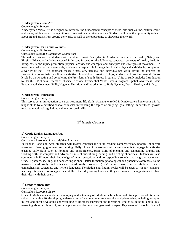# **Kindergarten Visual Art**

# Course length: Semester

Kindergarten Visual Art is designed to introduce the fundamental concepts of visual arts such as line, pattern, color, and shape, while also exposing children to aesthetic and critical analysis. Students will have the opportunity to learn about art and artists from around the world, as well as the opportunity to showcase their work.

#### **Kindergarten Health and Wellness**

### Course length: Full-year

# Curriculum Resource: *Edmentum Courseware*

Throughout this course, students will be able to meet Pennsylvania Academic Standards for Health, Safety and Physical Education by being engaged in lessons focused on the following concepts: concepts of health, healthful living, safety and injury prevention, physical activity and concepts, and principles and strategies of movement. To meet the physical activity standards, students are responsible for engaging in daily physical activities by completing a weekly fit log. This approach makes fitness very personal and individualized while giving the students the freedom to choose their own fitness activities. In addition to weekly fit logs, students will test their overall fitness levels by participating and completing the Presidential Youth Fitness Program. Units of study include: Introduction to Health & Wellness, Effects of Physical Activity, Presidential Youth Fitness Program, Spatial Awareness, Basic Fundamental Movement Skills, Hygiene, Nutrition, and Introduction to Body Systems, Dental Health, and Safety.

### **Kindergarten Homeroom**

# Course Length: Full-year

This serves as an introduction to career readiness/ life skills. Students enrolled in Kindergarten homeroom will be taught skills by a certified school counselor introducing the topics of bullying, goal setting, mindfulness, growth mindset, emotional regulation, and interpersonal skills.

# **1 st Grade Courses**

# **1 st Grade English Language Arts**

Course length: Full-year

#### Curriculum Resource: *Savvas MyView Literacy*

In English Language Arts, students will master concepts including reading comprehension, phonics, phonemic awareness, fluency, grammar, and writing. Daily phonemic awareness will allow students to engage in activities teaching early skills such as rhyming and onset fluency, basic skills of blending and segmenting sounds, and working with the complex and advanced skills of substituting, adding, and deleting phonemes. Students will also continue to build upon their knowledge of letter recognition and corresponding sounds, and language awareness. Grade 1 phonics, spelling, and handwriting is about: letter formation, phonological and phonemic awareness, sound mastery, word study and advanced word study, irregular (trick) word instruction, vocabulary, fluency, comprehension strategies, and written language. Nonfiction and fiction books will be used to support students' learning. Students learn to apply these skills to their day-to-day lives, and they are provided the opportunity to share their ideas with their peers.

# **1 st Grade Mathematics**

Course length: Full-year

#### Curriculum Resource: *Zearn*

Grade 1 Mathematics is about developing understanding of addition, subtraction, and strategies for addition and subtraction within 20; developing understanding of whole number relationships and place value, including grouping in tens and ones; developing understanding of linear measurement and measuring lengths as iterating length units; reasoning about attributes of, and composing and decomposing geometric shapes. Key areas of focus for Grade 1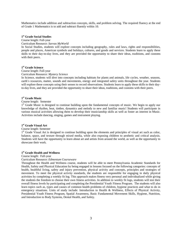Mathematics include addition and subtraction concepts, skills, and problem solving. The required fluency at the end of Grade 1 Mathematics is to add and subtract fluently within 10.

# **1 st Grade Social Studies**

Course length: Full-year

Curriculum Resource: *Savvas MyWorld*

In Social Studies, students will explore concepts including geography, rules and laws, rights and responsibilities, people and places, American symbols and holidays, cultures, and goods and services. Students learn to apply these skills to their day-to-day lives, and they are provided the opportunity to share their ideas, traditions, and customs with their peers.

# **1 st Grade Science**

Course length: Full-year Curriculum Resource: *Mystery Science*

In Science, students will dive into concepts including habitats for plants and animals, life cycles, weather, seasons, earth's resources, matter, sounds and movements, energy and integrated safety units throughout the year. Students will explore these concepts using their senses to record observations. Students learn to apply these skills to their dayto-day lives, and they are provided the opportunity to share their ideas, traditions, and customs with their peers.

# **1 st Grade Music**

Course length: Semester

1<sup>st</sup> Grade Music is designed to continue building upon the fundamental concepts of music. We begin to apply our knowledge of rhythm, beat, timbre, dynamics and melody to new and familiar music! Students will participate in various musical activities allowing them to develop their musicianship skills as well as foster an interest in Music. Activities include dancing, singing, games and instrument playing.

# **1 st Grade Visual Art**

#### Course length: Semester

1<sup>st</sup> Grade Visual Art is designed to continue building upon the elements and principles of visual art such as color, balance, space, and texture through mixed media, while also exposing children to aesthetic and critical analysis. Students will have the opportunity to learn about art and artists from around the world, as well as the opportunity to showcase their work.

# **1 st Grade Health and Wellness**

Course length: Full-year

Curriculum Resource: *Edmentum Courseware*

Throughout the Health and Wellness course, students will be able to meet Pennsylvania Academic Standards for Health, Safety and Physical Education by being engaged in lessons focused on the following categories: concepts of health, healthful living, safety and injury prevention, physical activity and concepts, principles and strategies of movement. To meet the physical activity standards, the students are responsible for engaging in daily physical activities by completing a weekly fit log. This approach makes fitness very personal and individualized while giving the students the freedom to choose their own fitness activities. In addition to weekly fit logs, students will test their overall fitness levels by participating and completing the Presidential Youth Fitness Program. The students will also learn topics such as, types and causes of common health problems of children, hygiene practices and what to do in emergency situations. Units of study include: Introduction to Health & Wellness, Effects of Physical Activity, Presidential Youth Fitness Program, Spatial Awareness, Basic Fundamental Movement Skills, Hygiene, Nutrition, and Introduction to Body Systems, Dental Health, and Safety.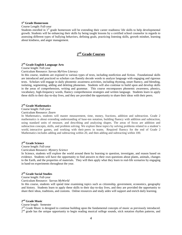# **1 st Grade Homeroom**

#### Course Length: Full-year

Students enrolled in 1<sup>st</sup> grade homeroom will be extending their career readiness/ life skills to help developmental growth. Students will be enhancing their skills by being taught lessons by a certified school counselor in regards to assessing different types of bullying behaviors, defining goals, practicing listening skills, growth mindset, learning about kindness, and anger management.

# **2 nd Grade Courses**

# **2 nd Grade English Language Arts**

Course length: Full-year

Curriculum Resource: *Savvas MyView Literacy* 

In this course, students are exposed to various types of texts, including nonfiction and fiction. Foundational skills are introduced and practiced so scholars can fluently decode words to analyze language with engaging and rigorous texts. Scholars will engage in daily phonemic awareness activities, including rhyming, onset fluency, and blending, isolating, segmenting, adding and deleting phonemes. Students will also continue to build upon and develop skills in the areas of comprehension, writing and grammar. This course encompasses phonemic awareness, phonics, vocabulary, high-frequency words, fluency comprehension strategies and written language. Students learn to apply these skills to their day-to-day lives, and they are provided the opportunity to share their ideas with their peers.

# **2 nd Grade Mathematics**

Course length: Full-year

#### Curriculum Resource: *Zearn*

In Mathematics, students will master measurement, time, money, fractions, addition and subtraction. Grade 2 mathematics is about extending understanding of base-ten notation, building fluency with addition and subtraction, using standard units of measure, and describing and analyzing shapes. The areas of focus are addition and subtraction concepts, skills, and problem solving. We explore these topics by solving problems related to a student's world, interactive games, and working with their peers in teams. Required fluency for the end of Grade 2 Mathematics includes adding and subtracting within 20, and then adding and subtracting within 100.

# **2 nd Grade Science**

Course length: Full-year

Curriculum Resource: *Mystery Science*

In Science, students will explore the world around them by learning to question, investigate, and reason based on evidence. Students will have the opportunity to find answers to their own questions about plants, animals, changes to the Earth, and the properties of materials. They will then apply what they learn to real-life scenarios by engaging in hand-on experiments throughout the year.

# **2 nd Grade Social Studies**

Course length: Full-year

Curriculum Resource: *Savvas MyWorld*

In this course, students will spend time examining topics such as citizenship, government, economics, geography and history. Students learn to apply these skills to their day-to-day lives, and they are provided the opportunity to share their ideas, traditions, and customs. Online resources and study aides will support and enrich daily learning.

# **2 nd Grade Music**

#### Course length: Semester

2<sup>nd</sup> Grade Music is designed to continue building upon the fundamental concepts of music as previously introduced. 2<sup>nd</sup> grade has the unique opportunity to begin reading musical solfege sounds, stick notation rhythm patterns, and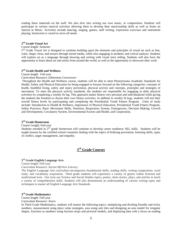reading these materials on the staff. We also dive into writing our own music, or composition. Students will participate in various musical activities allowing them to develop their musicianship skills as well as foster an interest in Music. Activities include dancing, singing, games, staff writing, expression exercises and instrument playing. Instruction is varied to serve all needs.

# **2 nd Grade Visual Art**

#### Course length: Semester

 $2<sup>nd</sup>$  Grade Visual Art is designed to continue building upon the elements and principles of visual art such as line, color, shape, form, and texture through mixed media, while also engaging in aesthetic and critical analysis. Students will explore art as a language through drawing and writing with visual story telling. Students will also have the opportunity to learn about art and artists from around the world, as well as the opportunity to showcase their work.

# **2 nd Grade Health and Wellness**

Course length: Full-year

Curriculum Resource: *Edmentum Courseware*

Throughout the Health and Wellness course, students will be able to meet Pennsylvania Academic Standards for Health, Safety and Physical Education by being engaged in lessons focused on the following categories: concepts of health, healthful living, safety and injury prevention, physical activity and concepts, principles and strategies of movement. To meet the physical activity standards, the students are responsible for engaging in daily physical activities by completing a weekly fit log. This approach makes fitness very personal and individualized while giving the students the freedom to choose their own fitness activities. In addition to weekly fit logs, students will test their overall fitness levels by participating and completing the Presidential Youth Fitness Program. Units of study include: Introduction to Health & Wellness, Importance of Physical Education, Presidential Youth Fitness Program, Safety Practices, Basic Movement Skills, Nutrition, Respiratory System, Emergencies, Decision Making, Growth and Development, Circulatory System, Environmental Factors and Health, and Cooperation.

# **2 nd Grade Homeroom**

#### Course Length: Full-year

Students enrolled in 2<sup>nd</sup> grade homeroom will continue to develop career readiness/ SEL skills. Students will be taught lessons by the certified school counselor dealing with the topics of bullying prevention, listening skills, types of conflict, anger management, and empathy.

# **3 rd Grade Courses**

# **3 rd Grade English Language Arts**

Course length: Full-year

Curriculum Resource: *Savvas MyView Literacy* 

The English Language Arts curriculum encompasses foundational skills, reading skills, writing composition, word study, and vocabulary acquisition. Third grade students will experience a variety of genres within fictional and nonfictional texts. Our texts use Science and Social Studies topics, poetry, short stories, plays, and articles to teach a variety of comprehension skills. Students will also demonstrate an understanding of various writing types and techniques to master all English Language Arts Standards.

# **3 rd Grade Mathematics**

Course length: Full-year

Curriculum Resource: *Zearn*

In Third Grade Mathematics, students will master the following topics: multiplying and dividing friendly and tricky numbers, measurement using place value strategies, area using unit tiles and designing an area model for irregular shapes, fractions as numbers using fraction strips and pictorial models, and displaying data with a focus on reading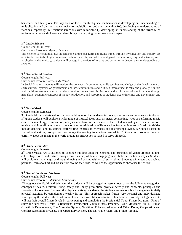bar charts and line plots. The key area of focus for third-grade mathematics is developing an understanding of multiplication and division and strategies for multiplication and division within 100, developing an understanding of fractions, especially unit fractions (fractions with numerator 1), developing an understanding of the structure of rectangular arrays and of area, and describing and analyzing two-dimensional shapes.

# **3 rd Grade Science**

#### Course length: Full-year

#### Curriculum Resource: *Mystery Science*

The Science curriculum allows students to examine our Earth and living things through investigation and inquiry. As an introduction to biological sciences, such as plant life, animal life, and genetic adaptations, physical sciences, such as physics and chemistry, students will engage in a variety of lessons and activities to deepen their understanding of science.

# **3 rd Grade Social Studies**

#### Course length: Full-year

#### Curriculum Resource: *Savvas MyWorld*

In Social Studies, students will explore the concept of community, while gaining knowledge of the development of early cultures, systems of government, and how communities and cultures interconnect locally and globally. Culture and traditions are evaluated as students explore the earliest civilizations and exploration of the Americas through map skills, economic concepts of money, production, and resources as students create timelines and government and law.

# **3 rd Grade Music**

#### Course length: Semester

3rd Grade Music is designed to continue building upon the fundamental concepts of music as previously introduced. 3<sup>rd</sup> grade students will explore a wider range of musical ideas such as meter, conducting, types of performing music (waltz vs marching), composition, analysis and how music makes us feel. Students will participate in various musical activities allowing them to develop their musicianship skills as well as foster an interest in Music. Activities include dancing, singing, games, staff writing, expression exercises and instrument playing. A Guided Listening Journal and writing prompts will encourage the reading foundations needed in 3<sup>rd</sup> Grade and foster an internal curiosity about the music in the world around us. Instruction is varied to serve all needs.

# **3 rd Grade Visual Art**

#### Course length: Semester

3<sup>rd</sup> Grade Visual Art is designed to continue building upon the elements and principles of visual art such as line, color, shape, form, and texture through mixed media, while also engaging in aesthetic and critical analysis. Students will explore art as a language through drawing and writing with visual story telling. Students will create and analyze portraits, learn about art and artists from around the world, as well as the opportunity to showcase their work.

# **3 rd Grade Health and Wellness**

#### Course length: Full-year

#### Curriculum Resource: *Edmentum Courseware*

Throughout the Health and Wellness, the students will be engaged in lessons focused on the following categories: concepts of health, healthful living, safety and injury prevention, physical activity and concepts, principles and strategies of movement. To meet the physical activity standards, the students are responsible for engaging in daily physical activities by completing a weekly fit log. This approach makes fitness very personal and individualized while giving the students the freedom to choose their own fitness activities. In addition to weekly fit logs, students will test their overall fitness levels by participating and completing the Presidential Youth Fitness Program. Units of study include: Why Health is Important, Presidential Youth Fitness Program, Basic Movement Skills, Human Growth & Development, The Muscular System, Nutrition, Tobacco, Alcohol and Other Drugs, Cooperation and Conflict Resolution, Hygiene, The Circulatory System, The Nervous System, and Fitness Testing.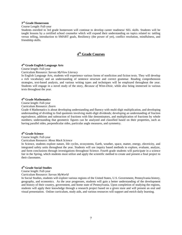# **3 rd Grade Homeroom**

#### Course Length: Full-year

Students enrolled in 3rd grade homeroom will continue to develop career readiness/ SEL skills. Students will be taught lessons by a certified school counselor which will expand their understanding on topics related to: tattling versus telling, introduction to SMART goals, Resiliency (the power of yet), conflict resolution, mindfulness, and friendship skills.

# **4 th Grade Courses**

# **4 th Grade English Language Arts**

Course length: Full-year

Curriculum Resource: *Savvas MyView Literacy*

In English Language Arts, students will experience various forms of nonfiction and fiction texts. They will develop a rich vocabulary and an understanding of sentence structure and correct grammar. Reading comprehension strategies, text-based analysis, and various writing types and techniques will be employed throughout the year. Students will engage in a novel study of the story, *Because of Winn-Dixie,* while also being immersed in various texts throughout the year.

# **4 th Grade Mathematics**

Course length: Full-year

Curriculum Resource: *Zearn*

Grade 4 Mathematics is about developing understanding and fluency with multi-digit multiplication, and developing understanding of dividing to find quotients involving multi-digit dividends; developing an understanding of fraction equivalence, addition and subtraction of fractions with like denominators, and multiplication of fractions by whole numbers; understanding that geometric figures can be analyzed and classified based on their properties, such as having parallel sides, perpendicular sides, particular angle measures, and symmetry.

# **4 th Grade Science**

Course length: Full-year Curriculum Resource: *Mosa Mack Science*

In Science, students explore nature, life cycles, ecosystems, Earth, weather, space, matter, energy, electricity, and integrated safety units throughout the year. Students will use inquiry based methods to explore, evaluate, analyze, and form conclusions through investigations throughout Science. Fourth grade students will participate in a science fair in the Spring, which students must utilize and apply the scientific method to create and present a final project to their classmates.

# **4 th Grade Social Studies**

Course length: Full-year Curriculum Resource: *Savvas MyWorld*

In Social Studies, students will explore various regions of the United States, U.S. Government, Pennsylvania history, geography, and economics. As the year progresses, students will gain a better understanding of the development and history of their country, government, and home state of Pennsylvania. Upon completion of studying the regions, students will apply their knowledge through a research project based on a given state and will present an oral and visual presentation. Online curriculum, study aids, and various resources will support and enrich daily learning.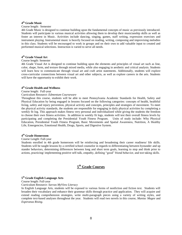# **4 th Grade Music**

#### Course length: Semester

4th Grade Music is designed to continue building upon the fundamental concepts of music as previously introduced. Students will participate in various musical activities allowing them to develop their musicianship skills as well as foster an interest in Music. Activities include dancing, singing, games, staff writing, expression exercises and instrument playing. Instrumental music is heavily focused on reading, writing, composing and improvising melodies in this class. Students will be encouraged to work in groups and on their own to add valuable input to created and performed musical selections. Instruction is varied to serve all needs.

# **4 th Grade Visual Art**

### Course length: Semester

4th Grade Visual Art is designed to continue building upon the elements and principles of visual art such as line, color, shape, form, and texture through mixed media, while also engaging in aesthetic and critical analysis. Students will learn how to communicate through visual art and craft artist statements. Additionally, students will explore cross-curricular connections between visual art and other subjects, as well as explore careers in the arts. Students will have the opportunity to exhibit their work.

# **4 th Grade Health and Wellness**

# Course length: Full-year

### Curriculum Resource: *Edmentum Courseware*

Throughout this course, students will be able to meet Pennsylvania Academic Standards for Health, Safety and Physical Education by being engaged in lessons focused on the following categories: concepts of health, healthful living, safety and injury prevention, physical activity and concepts, principles and strategies of movement. To meet the physical activity standards, the students are responsible for engaging in daily physical activities by completing a weekly fit log. This approach makes fitness very personal and individualized while giving the students the freedom to choose their own fitness activities. In addition to weekly fit logs, students will test their overall fitness levels by participating and completing the Presidential Youth Fitness Program. Units of study include: Why Physical Education, Presidential Youth Fitness Program, Basic Movements and Spatial Awareness, Nutrition, A Healthy Life, Emergencies, Emotional Health, Drugs, Sports, and Digestive System.

# **4 th Grade Homeroom**

#### Course Length: Full-year

Students enrolled in 4th grade homeroom will be reinforcing and broadening their career readiness/ life skills. Students will be taught lessons by a certified school counselor in regards to differentiating between bystander and up stander behaviors, determining differences between long and short term goals, learning to stop and think prior to actions, practicing/ implementing positive self-talk, empathy, defining "good" friend behavior, and test taking skills.

# **5 th Grade Courses**

# **5 th Grade English Language Arts**

Course length: Full-year

Curriculum Resource: *Savvas MyView Literacy*

In English Language Arts, students will be exposed to various forms of nonfiction and fiction text. Students will broaden their vocabulary and enhance their grammar skills through practice and application. They will acquire and extend reading comprehension strategies, write multi-paragraph pieces using a variety of writing styles, and complete text-based analyses throughout the year. Students will read two novels in this course, *Maniac Magee* and *Esperanza Rising*.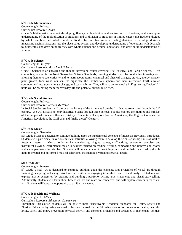# **5 th Grade Mathematics**

Course length: Full-year

#### Curriculum Resource: *Zearn*

Grade 5 Mathematics is about developing fluency with addition and subtraction of fractions, and developing understanding of the multiplication of fractions and of division of fractions in limited cases (unit fractions divided by whole numbers and whole numbers divided by unit fractions); extending division to two-digit divisors, integrating decimal fractions into the place value system and developing understanding of operations with decimals to hundredths, and developing fluency with whole number and decimal operations; and developing understanding of volume.

# **5 th Grade Science**

Course length: Full-year

Curriculum Resource: *Mosa Mack Science*

Grade 5 Science is an engaging and thought provoking course covering Life, Physical, and Earth Sciences. This course is grounded in the Next Generation Science Standards, meaning students will be conducting investigations, allowing them to create curiosity and to learn about: atoms, chemical and physical changes, gravity, energy transfer, plant growth, food webs, our sun, the night sky, the Earth's four spheres and their interaction, Earth's water, communities' resources, climate change, and sustainability. They will also get to partake in Engineering Design! All units will be preparing them for everyday life and potential futures in science.

# **5 th Grade Social Studies**

Course length: Full-year

#### Curriculum Resource: *Savvas MyWorld*

In Social Studies, students will discover the history of the Americas from the first Native Americans through the  $21<sup>st</sup>$ century. We will discuss not only historical events through these periods, but also explore the motives and mindset of the people who made influenced history. Students will explore Native Americans, the English Colonies, the American Revolution, the Civil War and finally the  $21<sup>st</sup>$  Century.

# **5 th Grade Music**

#### Course length: Semester

5th Grade Music is designed to continue building upon the fundamental concepts of music as previously introduced. Students will participate in various musical activities allowing them to develop their musicianship skills as well as foster an interest in Music. Activities include dancing, singing, games, staff writing, expression exercises and instrument playing. Instrumental music is heavily focused on reading, writing, composing and improvising chords and accompaniments in this class. Students will be encouraged to work in groups and on their own to add valuable input to created and performed musical selections. Instruction is varied to serve all needs.

#### **5th Grade Art**

#### Course length: Semester

5<sup>th</sup> Grade Visual Art is designed to continue building upon the elements and principles of visual art through sketching, sculpting and using mixed media, while also engaging in aesthetic and critical analysis. Students will explore artistic expression by creating and building a portfolio, writing artist statements and visual story telling. Additionally, students will learn about how visual art and math are connected, and will explore careers in the visual arts. Students will have the opportunity to exhibit their work.

# **5 th Grade Health and Wellness**

Course length: Full-Year

#### Curriculum Resource: *Edmentum Courseware*

Throughout this course, students will be able to meet Pennsylvania Academic Standards for Health, Safety and Physical Education by being engaged in lessons focused on the following categories: concepts of health, healthful living, safety and injury prevention, physical activity and concepts, principles and strategies of movement. To meet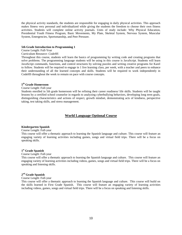the physical activity standards, the students are responsible for engaging in daily physical activities. This approach makes fitness very personal and individualized while giving the students the freedom to choose their own fitness activities. Students will complete online activity journals. Units of study include: Why Physical Education, Presidential Youth Fitness Program, Basic Movements, My Plate, Skeletal System, Nervous System, Muscular System, Emergencies, Sportsmanship, and Peer Pressure.

#### **5th Grade Introduction to Programming 1**

Course Length: Full-Year

#### Curriculum Resource: *CodeHS*

Throughout this course, students will learn the basics of programming by writing code and creating programs that solve problems. The programming language students will be using in this course is JavaScript. Students will learn JavaScript commands, functions, and control structures by solving puzzles and writing creative programs for Karel to follow. Students will be required to engage in 1 live learning class, per week, with a teacher and peers to enhance their understanding of all the learned concepts and skills. Students will be required to work independently in CodeHS throughout the week to remain on pace with course concepts.

# **5 th Grade Homeroom**

Course Length: Full-year

Students enrolled in 5th grade homeroom will be refining their career readiness/ life skills. Students will be taught lessons by a certified school counselor in regards to analyzing cyberbullying behaviors, developing long term goals, distinguishing characteristics and actions of respect, growth mindset, demonstrating acts of kindness, perspective taking, test taking skills, and stress management.

# **World Language Optional Course**

#### **Kindergarten Spanish**

#### Course Length: Full-year

This course will offer a thematic approach to learning the Spanish language and culture. This course will feature an engaging variety of learning activities including games, songs and virtual field trips. There will be a focus on speaking skills.

# **1 st Grade Spanish**

#### Course Length: Full-year

This course will offer a thematic approach to learning the Spanish language and culture. This course will feature an engaging variety of learning activities including videos, games, songs and virtual field trips. There will be a focus on speaking and listening skills.

# **2 nd Grade Spanish**

#### Course Length: Full-year

This course will offer a thematic approach to learning the Spanish language and culture. This course will build on the skills learned in First Grade Spanish. This course will feature an engaging variety of learning activities including videos, games, songs and virtual field trips. There will be a focus on speaking and listening skills.